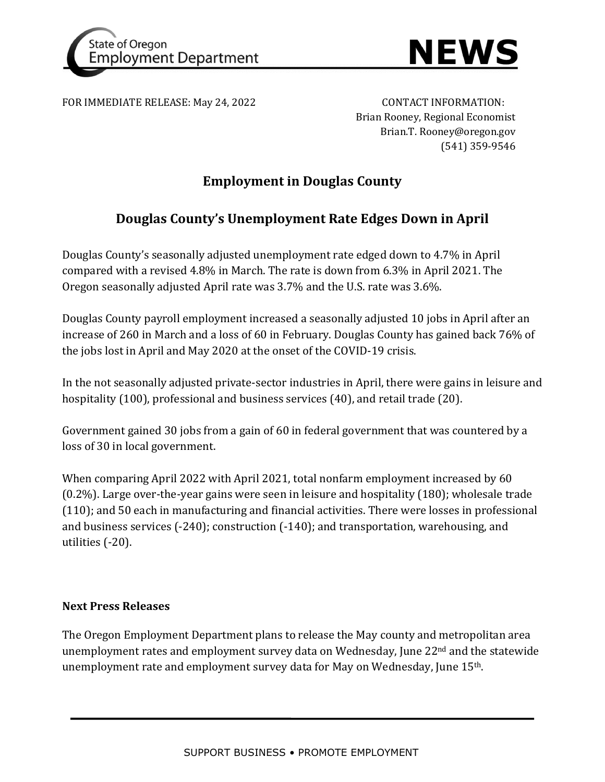



FOR IMMEDIATE RELEASE: May 24, 2022 CONTACT INFORMATION:

Brian Rooney, Regional Economist Brian.T. Rooney@oregon.gov (541) 359-9546

## **Employment in Douglas County**

## **Douglas County's Unemployment Rate Edges Down in April**

Douglas County's seasonally adjusted unemployment rate edged down to 4.7% in April compared with a revised 4.8% in March. The rate is down from 6.3% in April 2021. The Oregon seasonally adjusted April rate was 3.7% and the U.S. rate was 3.6%.

Douglas County payroll employment increased a seasonally adjusted 10 jobs in April after an increase of 260 in March and a loss of 60 in February. Douglas County has gained back 76% of the jobs lost in April and May 2020 at the onset of the COVID-19 crisis.

In the not seasonally adjusted private-sector industries in April, there were gains in leisure and hospitality (100), professional and business services (40), and retail trade (20).

Government gained 30 jobs from a gain of 60 in federal government that was countered by a loss of 30 in local government.

When comparing April 2022 with April 2021, total nonfarm employment increased by 60 (0.2%). Large over-the-year gains were seen in leisure and hospitality (180); wholesale trade (110); and 50 each in manufacturing and financial activities. There were losses in professional and business services (-240); construction (-140); and transportation, warehousing, and utilities (-20).

### **Next Press Releases**

The Oregon Employment Department plans to release the May county and metropolitan area unemployment rates and employment survey data on Wednesday, June 22<sup>nd</sup> and the statewide unemployment rate and employment survey data for May on Wednesday, June 15th.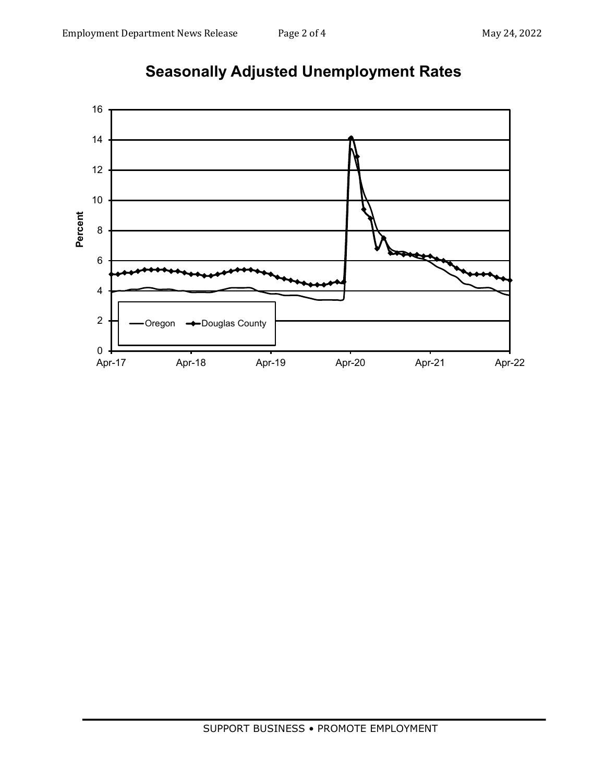

# **Seasonally Adjusted Unemployment Rates**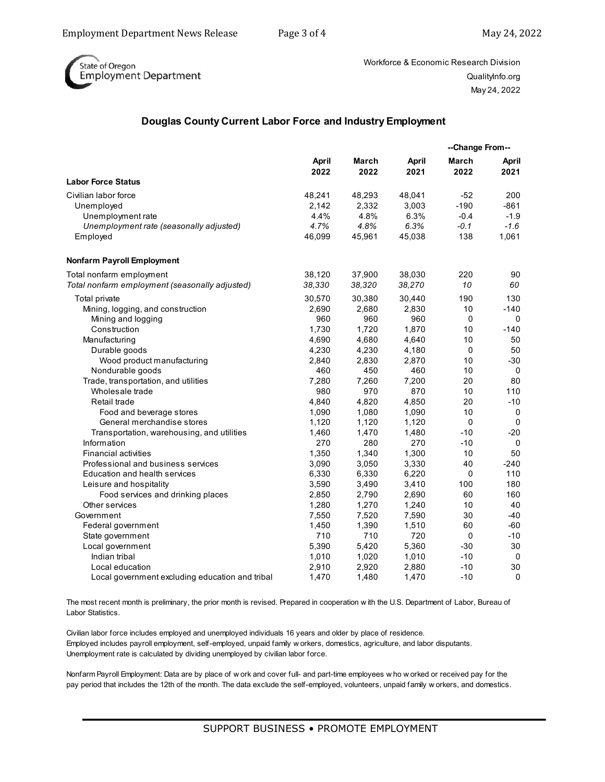

Workforce & Economic Research Division QualityInfo.org May 24, 2022

#### **Douglas County Current Labor Force and Industry Employment**

| March<br><b>April</b><br>March<br><b>April</b><br>April<br>2022<br>2022<br>2022<br>2021<br>2021<br><b>Labor Force Status</b><br>48,241<br>48,293<br>48,041<br>$-52$<br>200<br>2,332<br>3,003<br>$-190$<br>$-861$<br>Unemployed<br>2,142<br>4.4%<br>4.8%<br>6.3%<br>$-0.4$<br>$-1.9$<br>Unemployment rate<br>4.7%<br>4.8%<br>6.3%<br>$-0.1$<br>$-1.6$<br>Unemployment rate (seasonally adjusted)<br>138<br>1,061<br>46,099<br>45,961<br>45,038<br>Employed<br>220<br>Total nonfarm employment<br>38,120<br>37,900<br>38,030<br>90<br>Total nonfarm employment (seasonally adjusted)<br>38,330<br>38,320<br>38,270<br>10<br>60<br>190<br>Total private<br>30,570<br>30,380<br>30,440<br>130<br>$-140$<br>Mining, logging, and construction<br>2,690<br>2,680<br>2,830<br>10<br>960<br>960<br>960<br>$\mathbf 0$<br>$\Omega$<br>Mining and logging<br>1,730<br>1,720<br>1,870<br>10<br>$-140$<br>Construction<br>Manufacturing<br>4,690<br>4,680<br>4,640<br>10<br>50<br>4,180<br>$\mathbf 0$<br>50<br>Durable goods<br>4,230<br>4,230<br>2,870<br>10<br>$-30$<br>Wood product manufacturing<br>2,840<br>2,830<br>450<br>460<br>Nondurable goods<br>460<br>10<br>0<br>80<br>7,280<br>7,260<br>7,200<br>20<br>Trade, transportation, and utilities<br>980<br>970<br>870<br>10<br>110<br>Wholesale trade<br>$-10$<br>4,840<br>4,820<br>4,850<br>20<br>Retail trade<br>10<br>Food and beverage stores<br>1,090<br>1,080<br>1,090<br>0<br>0<br>General merchandise stores<br>1,120<br>1,120<br>1,120<br>0<br>$-10$<br>$-20$<br>Transportation, warehousing, and utilities<br>1,460<br>1,470<br>1,480<br>270<br>280<br>270<br>$-10$<br>Information<br>0<br>1,300<br>50<br><b>Financial activities</b><br>1,350<br>1,340<br>10<br>Professional and business services<br>3,090<br>3,050<br>3,330<br>40<br>$-240$<br>6,220<br><b>Education and health services</b><br>6,330<br>6,330<br>0<br>110<br>3,590<br>3,490<br>3,410<br>100<br>180<br>Leisure and hospitality<br>2,850<br>2,790<br>2,690<br>60<br>160<br>Food services and drinking places<br>1,240<br>10<br>40<br>Other services<br>1,280<br>1,270<br>30<br>7,550<br>7,520<br>7,590<br>$-40$<br>Government<br>1,510<br>60<br>$-60$<br>Federal government<br>1,450<br>1,390<br>710<br>710<br>720<br>$-10$<br>0<br>State government<br>5,390<br>5,420<br>5,360<br>$-30$<br>30<br>Local government<br>Indian tribal<br>1,020<br>$-10$<br>$\mathbf 0$<br>1,010<br>1,010<br>$-10$<br>30<br>Local education<br>2,910<br>2,920<br>2,880<br>$\boldsymbol{0}$<br>1,470<br>1,480<br>1,470<br>$-10$<br>Local government excluding education and tribal |                                   |  |  | --Change From-- |  |
|------------------------------------------------------------------------------------------------------------------------------------------------------------------------------------------------------------------------------------------------------------------------------------------------------------------------------------------------------------------------------------------------------------------------------------------------------------------------------------------------------------------------------------------------------------------------------------------------------------------------------------------------------------------------------------------------------------------------------------------------------------------------------------------------------------------------------------------------------------------------------------------------------------------------------------------------------------------------------------------------------------------------------------------------------------------------------------------------------------------------------------------------------------------------------------------------------------------------------------------------------------------------------------------------------------------------------------------------------------------------------------------------------------------------------------------------------------------------------------------------------------------------------------------------------------------------------------------------------------------------------------------------------------------------------------------------------------------------------------------------------------------------------------------------------------------------------------------------------------------------------------------------------------------------------------------------------------------------------------------------------------------------------------------------------------------------------------------------------------------------------------------------------------------------------------------------------------------------------------------------------------------------------------------------------------------------------------------------------------------------------------------------------------------------------------------------------------------------------------------------------------------------------------------------------------------------------------------|-----------------------------------|--|--|-----------------|--|
|                                                                                                                                                                                                                                                                                                                                                                                                                                                                                                                                                                                                                                                                                                                                                                                                                                                                                                                                                                                                                                                                                                                                                                                                                                                                                                                                                                                                                                                                                                                                                                                                                                                                                                                                                                                                                                                                                                                                                                                                                                                                                                                                                                                                                                                                                                                                                                                                                                                                                                                                                                                          |                                   |  |  |                 |  |
|                                                                                                                                                                                                                                                                                                                                                                                                                                                                                                                                                                                                                                                                                                                                                                                                                                                                                                                                                                                                                                                                                                                                                                                                                                                                                                                                                                                                                                                                                                                                                                                                                                                                                                                                                                                                                                                                                                                                                                                                                                                                                                                                                                                                                                                                                                                                                                                                                                                                                                                                                                                          |                                   |  |  |                 |  |
|                                                                                                                                                                                                                                                                                                                                                                                                                                                                                                                                                                                                                                                                                                                                                                                                                                                                                                                                                                                                                                                                                                                                                                                                                                                                                                                                                                                                                                                                                                                                                                                                                                                                                                                                                                                                                                                                                                                                                                                                                                                                                                                                                                                                                                                                                                                                                                                                                                                                                                                                                                                          |                                   |  |  |                 |  |
|                                                                                                                                                                                                                                                                                                                                                                                                                                                                                                                                                                                                                                                                                                                                                                                                                                                                                                                                                                                                                                                                                                                                                                                                                                                                                                                                                                                                                                                                                                                                                                                                                                                                                                                                                                                                                                                                                                                                                                                                                                                                                                                                                                                                                                                                                                                                                                                                                                                                                                                                                                                          | Civilian labor force              |  |  |                 |  |
|                                                                                                                                                                                                                                                                                                                                                                                                                                                                                                                                                                                                                                                                                                                                                                                                                                                                                                                                                                                                                                                                                                                                                                                                                                                                                                                                                                                                                                                                                                                                                                                                                                                                                                                                                                                                                                                                                                                                                                                                                                                                                                                                                                                                                                                                                                                                                                                                                                                                                                                                                                                          |                                   |  |  |                 |  |
|                                                                                                                                                                                                                                                                                                                                                                                                                                                                                                                                                                                                                                                                                                                                                                                                                                                                                                                                                                                                                                                                                                                                                                                                                                                                                                                                                                                                                                                                                                                                                                                                                                                                                                                                                                                                                                                                                                                                                                                                                                                                                                                                                                                                                                                                                                                                                                                                                                                                                                                                                                                          |                                   |  |  |                 |  |
|                                                                                                                                                                                                                                                                                                                                                                                                                                                                                                                                                                                                                                                                                                                                                                                                                                                                                                                                                                                                                                                                                                                                                                                                                                                                                                                                                                                                                                                                                                                                                                                                                                                                                                                                                                                                                                                                                                                                                                                                                                                                                                                                                                                                                                                                                                                                                                                                                                                                                                                                                                                          |                                   |  |  |                 |  |
|                                                                                                                                                                                                                                                                                                                                                                                                                                                                                                                                                                                                                                                                                                                                                                                                                                                                                                                                                                                                                                                                                                                                                                                                                                                                                                                                                                                                                                                                                                                                                                                                                                                                                                                                                                                                                                                                                                                                                                                                                                                                                                                                                                                                                                                                                                                                                                                                                                                                                                                                                                                          |                                   |  |  |                 |  |
|                                                                                                                                                                                                                                                                                                                                                                                                                                                                                                                                                                                                                                                                                                                                                                                                                                                                                                                                                                                                                                                                                                                                                                                                                                                                                                                                                                                                                                                                                                                                                                                                                                                                                                                                                                                                                                                                                                                                                                                                                                                                                                                                                                                                                                                                                                                                                                                                                                                                                                                                                                                          | <b>Nonfarm Payroll Employment</b> |  |  |                 |  |
|                                                                                                                                                                                                                                                                                                                                                                                                                                                                                                                                                                                                                                                                                                                                                                                                                                                                                                                                                                                                                                                                                                                                                                                                                                                                                                                                                                                                                                                                                                                                                                                                                                                                                                                                                                                                                                                                                                                                                                                                                                                                                                                                                                                                                                                                                                                                                                                                                                                                                                                                                                                          |                                   |  |  |                 |  |
|                                                                                                                                                                                                                                                                                                                                                                                                                                                                                                                                                                                                                                                                                                                                                                                                                                                                                                                                                                                                                                                                                                                                                                                                                                                                                                                                                                                                                                                                                                                                                                                                                                                                                                                                                                                                                                                                                                                                                                                                                                                                                                                                                                                                                                                                                                                                                                                                                                                                                                                                                                                          |                                   |  |  |                 |  |
|                                                                                                                                                                                                                                                                                                                                                                                                                                                                                                                                                                                                                                                                                                                                                                                                                                                                                                                                                                                                                                                                                                                                                                                                                                                                                                                                                                                                                                                                                                                                                                                                                                                                                                                                                                                                                                                                                                                                                                                                                                                                                                                                                                                                                                                                                                                                                                                                                                                                                                                                                                                          |                                   |  |  |                 |  |
|                                                                                                                                                                                                                                                                                                                                                                                                                                                                                                                                                                                                                                                                                                                                                                                                                                                                                                                                                                                                                                                                                                                                                                                                                                                                                                                                                                                                                                                                                                                                                                                                                                                                                                                                                                                                                                                                                                                                                                                                                                                                                                                                                                                                                                                                                                                                                                                                                                                                                                                                                                                          |                                   |  |  |                 |  |
|                                                                                                                                                                                                                                                                                                                                                                                                                                                                                                                                                                                                                                                                                                                                                                                                                                                                                                                                                                                                                                                                                                                                                                                                                                                                                                                                                                                                                                                                                                                                                                                                                                                                                                                                                                                                                                                                                                                                                                                                                                                                                                                                                                                                                                                                                                                                                                                                                                                                                                                                                                                          |                                   |  |  |                 |  |
|                                                                                                                                                                                                                                                                                                                                                                                                                                                                                                                                                                                                                                                                                                                                                                                                                                                                                                                                                                                                                                                                                                                                                                                                                                                                                                                                                                                                                                                                                                                                                                                                                                                                                                                                                                                                                                                                                                                                                                                                                                                                                                                                                                                                                                                                                                                                                                                                                                                                                                                                                                                          |                                   |  |  |                 |  |
|                                                                                                                                                                                                                                                                                                                                                                                                                                                                                                                                                                                                                                                                                                                                                                                                                                                                                                                                                                                                                                                                                                                                                                                                                                                                                                                                                                                                                                                                                                                                                                                                                                                                                                                                                                                                                                                                                                                                                                                                                                                                                                                                                                                                                                                                                                                                                                                                                                                                                                                                                                                          |                                   |  |  |                 |  |
|                                                                                                                                                                                                                                                                                                                                                                                                                                                                                                                                                                                                                                                                                                                                                                                                                                                                                                                                                                                                                                                                                                                                                                                                                                                                                                                                                                                                                                                                                                                                                                                                                                                                                                                                                                                                                                                                                                                                                                                                                                                                                                                                                                                                                                                                                                                                                                                                                                                                                                                                                                                          |                                   |  |  |                 |  |
|                                                                                                                                                                                                                                                                                                                                                                                                                                                                                                                                                                                                                                                                                                                                                                                                                                                                                                                                                                                                                                                                                                                                                                                                                                                                                                                                                                                                                                                                                                                                                                                                                                                                                                                                                                                                                                                                                                                                                                                                                                                                                                                                                                                                                                                                                                                                                                                                                                                                                                                                                                                          |                                   |  |  |                 |  |
|                                                                                                                                                                                                                                                                                                                                                                                                                                                                                                                                                                                                                                                                                                                                                                                                                                                                                                                                                                                                                                                                                                                                                                                                                                                                                                                                                                                                                                                                                                                                                                                                                                                                                                                                                                                                                                                                                                                                                                                                                                                                                                                                                                                                                                                                                                                                                                                                                                                                                                                                                                                          |                                   |  |  |                 |  |
|                                                                                                                                                                                                                                                                                                                                                                                                                                                                                                                                                                                                                                                                                                                                                                                                                                                                                                                                                                                                                                                                                                                                                                                                                                                                                                                                                                                                                                                                                                                                                                                                                                                                                                                                                                                                                                                                                                                                                                                                                                                                                                                                                                                                                                                                                                                                                                                                                                                                                                                                                                                          |                                   |  |  |                 |  |
|                                                                                                                                                                                                                                                                                                                                                                                                                                                                                                                                                                                                                                                                                                                                                                                                                                                                                                                                                                                                                                                                                                                                                                                                                                                                                                                                                                                                                                                                                                                                                                                                                                                                                                                                                                                                                                                                                                                                                                                                                                                                                                                                                                                                                                                                                                                                                                                                                                                                                                                                                                                          |                                   |  |  |                 |  |
|                                                                                                                                                                                                                                                                                                                                                                                                                                                                                                                                                                                                                                                                                                                                                                                                                                                                                                                                                                                                                                                                                                                                                                                                                                                                                                                                                                                                                                                                                                                                                                                                                                                                                                                                                                                                                                                                                                                                                                                                                                                                                                                                                                                                                                                                                                                                                                                                                                                                                                                                                                                          |                                   |  |  |                 |  |
|                                                                                                                                                                                                                                                                                                                                                                                                                                                                                                                                                                                                                                                                                                                                                                                                                                                                                                                                                                                                                                                                                                                                                                                                                                                                                                                                                                                                                                                                                                                                                                                                                                                                                                                                                                                                                                                                                                                                                                                                                                                                                                                                                                                                                                                                                                                                                                                                                                                                                                                                                                                          |                                   |  |  |                 |  |
|                                                                                                                                                                                                                                                                                                                                                                                                                                                                                                                                                                                                                                                                                                                                                                                                                                                                                                                                                                                                                                                                                                                                                                                                                                                                                                                                                                                                                                                                                                                                                                                                                                                                                                                                                                                                                                                                                                                                                                                                                                                                                                                                                                                                                                                                                                                                                                                                                                                                                                                                                                                          |                                   |  |  |                 |  |
|                                                                                                                                                                                                                                                                                                                                                                                                                                                                                                                                                                                                                                                                                                                                                                                                                                                                                                                                                                                                                                                                                                                                                                                                                                                                                                                                                                                                                                                                                                                                                                                                                                                                                                                                                                                                                                                                                                                                                                                                                                                                                                                                                                                                                                                                                                                                                                                                                                                                                                                                                                                          |                                   |  |  |                 |  |
|                                                                                                                                                                                                                                                                                                                                                                                                                                                                                                                                                                                                                                                                                                                                                                                                                                                                                                                                                                                                                                                                                                                                                                                                                                                                                                                                                                                                                                                                                                                                                                                                                                                                                                                                                                                                                                                                                                                                                                                                                                                                                                                                                                                                                                                                                                                                                                                                                                                                                                                                                                                          |                                   |  |  |                 |  |
|                                                                                                                                                                                                                                                                                                                                                                                                                                                                                                                                                                                                                                                                                                                                                                                                                                                                                                                                                                                                                                                                                                                                                                                                                                                                                                                                                                                                                                                                                                                                                                                                                                                                                                                                                                                                                                                                                                                                                                                                                                                                                                                                                                                                                                                                                                                                                                                                                                                                                                                                                                                          |                                   |  |  |                 |  |
|                                                                                                                                                                                                                                                                                                                                                                                                                                                                                                                                                                                                                                                                                                                                                                                                                                                                                                                                                                                                                                                                                                                                                                                                                                                                                                                                                                                                                                                                                                                                                                                                                                                                                                                                                                                                                                                                                                                                                                                                                                                                                                                                                                                                                                                                                                                                                                                                                                                                                                                                                                                          |                                   |  |  |                 |  |
|                                                                                                                                                                                                                                                                                                                                                                                                                                                                                                                                                                                                                                                                                                                                                                                                                                                                                                                                                                                                                                                                                                                                                                                                                                                                                                                                                                                                                                                                                                                                                                                                                                                                                                                                                                                                                                                                                                                                                                                                                                                                                                                                                                                                                                                                                                                                                                                                                                                                                                                                                                                          |                                   |  |  |                 |  |
|                                                                                                                                                                                                                                                                                                                                                                                                                                                                                                                                                                                                                                                                                                                                                                                                                                                                                                                                                                                                                                                                                                                                                                                                                                                                                                                                                                                                                                                                                                                                                                                                                                                                                                                                                                                                                                                                                                                                                                                                                                                                                                                                                                                                                                                                                                                                                                                                                                                                                                                                                                                          |                                   |  |  |                 |  |
|                                                                                                                                                                                                                                                                                                                                                                                                                                                                                                                                                                                                                                                                                                                                                                                                                                                                                                                                                                                                                                                                                                                                                                                                                                                                                                                                                                                                                                                                                                                                                                                                                                                                                                                                                                                                                                                                                                                                                                                                                                                                                                                                                                                                                                                                                                                                                                                                                                                                                                                                                                                          |                                   |  |  |                 |  |
|                                                                                                                                                                                                                                                                                                                                                                                                                                                                                                                                                                                                                                                                                                                                                                                                                                                                                                                                                                                                                                                                                                                                                                                                                                                                                                                                                                                                                                                                                                                                                                                                                                                                                                                                                                                                                                                                                                                                                                                                                                                                                                                                                                                                                                                                                                                                                                                                                                                                                                                                                                                          |                                   |  |  |                 |  |
|                                                                                                                                                                                                                                                                                                                                                                                                                                                                                                                                                                                                                                                                                                                                                                                                                                                                                                                                                                                                                                                                                                                                                                                                                                                                                                                                                                                                                                                                                                                                                                                                                                                                                                                                                                                                                                                                                                                                                                                                                                                                                                                                                                                                                                                                                                                                                                                                                                                                                                                                                                                          |                                   |  |  |                 |  |
|                                                                                                                                                                                                                                                                                                                                                                                                                                                                                                                                                                                                                                                                                                                                                                                                                                                                                                                                                                                                                                                                                                                                                                                                                                                                                                                                                                                                                                                                                                                                                                                                                                                                                                                                                                                                                                                                                                                                                                                                                                                                                                                                                                                                                                                                                                                                                                                                                                                                                                                                                                                          |                                   |  |  |                 |  |
|                                                                                                                                                                                                                                                                                                                                                                                                                                                                                                                                                                                                                                                                                                                                                                                                                                                                                                                                                                                                                                                                                                                                                                                                                                                                                                                                                                                                                                                                                                                                                                                                                                                                                                                                                                                                                                                                                                                                                                                                                                                                                                                                                                                                                                                                                                                                                                                                                                                                                                                                                                                          |                                   |  |  |                 |  |
|                                                                                                                                                                                                                                                                                                                                                                                                                                                                                                                                                                                                                                                                                                                                                                                                                                                                                                                                                                                                                                                                                                                                                                                                                                                                                                                                                                                                                                                                                                                                                                                                                                                                                                                                                                                                                                                                                                                                                                                                                                                                                                                                                                                                                                                                                                                                                                                                                                                                                                                                                                                          |                                   |  |  |                 |  |
|                                                                                                                                                                                                                                                                                                                                                                                                                                                                                                                                                                                                                                                                                                                                                                                                                                                                                                                                                                                                                                                                                                                                                                                                                                                                                                                                                                                                                                                                                                                                                                                                                                                                                                                                                                                                                                                                                                                                                                                                                                                                                                                                                                                                                                                                                                                                                                                                                                                                                                                                                                                          |                                   |  |  |                 |  |
|                                                                                                                                                                                                                                                                                                                                                                                                                                                                                                                                                                                                                                                                                                                                                                                                                                                                                                                                                                                                                                                                                                                                                                                                                                                                                                                                                                                                                                                                                                                                                                                                                                                                                                                                                                                                                                                                                                                                                                                                                                                                                                                                                                                                                                                                                                                                                                                                                                                                                                                                                                                          |                                   |  |  |                 |  |
|                                                                                                                                                                                                                                                                                                                                                                                                                                                                                                                                                                                                                                                                                                                                                                                                                                                                                                                                                                                                                                                                                                                                                                                                                                                                                                                                                                                                                                                                                                                                                                                                                                                                                                                                                                                                                                                                                                                                                                                                                                                                                                                                                                                                                                                                                                                                                                                                                                                                                                                                                                                          |                                   |  |  |                 |  |

The most recent month is preliminary, the prior month is revised. Prepared in cooperation w ith the U.S. Department of Labor, Bureau of Labor Statistics.

Civilian labor force includes employed and unemployed individuals 16 years and older by place of residence. Employed includes payroll employment, self-employed, unpaid family w orkers, domestics, agriculture, and labor disputants. Unemployment rate is calculated by dividing unemployed by civilian labor force.

Nonfarm Payroll Employment: Data are by place of w ork and cover full- and part-time employees w ho w orked or received pay for the pay period that includes the 12th of the month. The data exclude the self-employed, volunteers, unpaid family w orkers, and domestics.